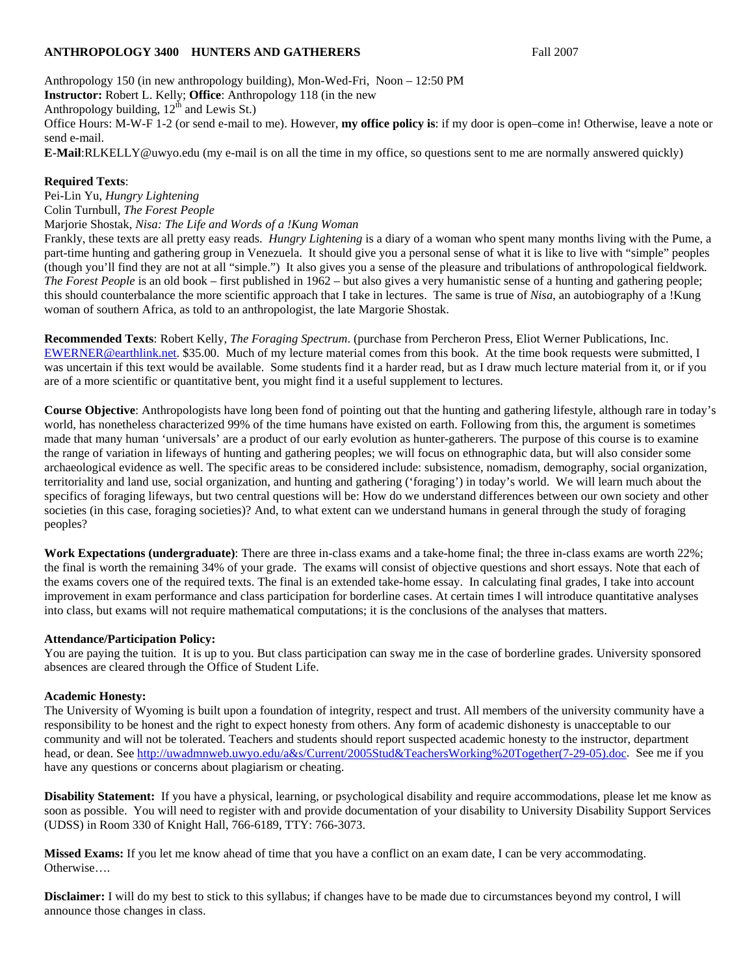### **ANTHROPOLOGY 3400 HUNTERS AND GATHERERS** Fall 2007

Anthropology 150 (in new anthropology building), Mon-Wed-Fri, Noon – 12:50 PM **Instructor:** Robert L. Kelly; **Office**: Anthropology 118 (in the new Anthropology building,  $12<sup>th</sup>$  and Lewis St.) Office Hours: M-W-F 1-2 (or send e-mail to me). However, **my office policy is**: if my door is open–come in! Otherwise, leave a note or send e-mail.

**E-Mail**:RLKELLY@uwyo.edu (my e-mail is on all the time in my office, so questions sent to me are normally answered quickly)

### **Required Texts**:

Pei-Lin Yu, *Hungry Lightening* Colin Turnbull, *The Forest People* Marjorie Shostak, *Nisa: The Life and Words of a !Kung Woman*

Frankly, these texts are all pretty easy reads. *Hungry Lightening* is a diary of a woman who spent many months living with the Pume, a part-time hunting and gathering group in Venezuela. It should give you a personal sense of what it is like to live with "simple" peoples (though you'll find they are not at all "simple.") It also gives you a sense of the pleasure and tribulations of anthropological fieldwork*. The Forest People* is an old book – first published in 1962 – but also gives a very humanistic sense of a hunting and gathering people; this should counterbalance the more scientific approach that I take in lectures. The same is true of *Nisa*, an autobiography of a !Kung woman of southern Africa, as told to an anthropologist, the late Margorie Shostak.

**Recommended Texts**: Robert Kelly, *The Foraging Spectrum*. (purchase from Percheron Press, Eliot Werner Publications, Inc. EWERNER@earthlink.net. \$35.00. Much of my lecture material comes from this book. At the time book requests were submitted, I was uncertain if this text would be available. Some students find it a harder read, but as I draw much lecture material from it, or if you are of a more scientific or quantitative bent, you might find it a useful supplement to lectures.

**Course Objective**: Anthropologists have long been fond of pointing out that the hunting and gathering lifestyle, although rare in today's world, has nonetheless characterized 99% of the time humans have existed on earth. Following from this, the argument is sometimes made that many human 'universals' are a product of our early evolution as hunter-gatherers. The purpose of this course is to examine the range of variation in lifeways of hunting and gathering peoples; we will focus on ethnographic data, but will also consider some archaeological evidence as well. The specific areas to be considered include: subsistence, nomadism, demography, social organization, territoriality and land use, social organization, and hunting and gathering ('foraging') in today's world. We will learn much about the specifics of foraging lifeways, but two central questions will be: How do we understand differences between our own society and other societies (in this case, foraging societies)? And, to what extent can we understand humans in general through the study of foraging peoples?

**Work Expectations (undergraduate)**: There are three in-class exams and a take-home final; the three in-class exams are worth 22%; the final is worth the remaining 34% of your grade. The exams will consist of objective questions and short essays. Note that each of the exams covers one of the required texts. The final is an extended take-home essay. In calculating final grades, I take into account improvement in exam performance and class participation for borderline cases. At certain times I will introduce quantitative analyses into class, but exams will not require mathematical computations; it is the conclusions of the analyses that matters.

## **Attendance/Participation Policy:**

You are paying the tuition. It is up to you. But class participation can sway me in the case of borderline grades. University sponsored absences are cleared through the Office of Student Life.

## **Academic Honesty:**

The University of Wyoming is built upon a foundation of integrity, respect and trust. All members of the university community have a responsibility to be honest and the right to expect honesty from others. Any form of academic dishonesty is unacceptable to our community and will not be tolerated. Teachers and students should report suspected academic honesty to the instructor, department head, or dean. See http://uwadmnweb.uwyo.edu/a&s/Current/2005Stud&TeachersWorking%20Together(7-29-05).doc. See me if you have any questions or concerns about plagiarism or cheating.

**Disability Statement:** If you have a physical, learning, or psychological disability and require accommodations, please let me know as soon as possible. You will need to register with and provide documentation of your disability to University Disability Support Services (UDSS) in Room 330 of Knight Hall, 766-6189, TTY: 766-3073.

**Missed Exams:** If you let me know ahead of time that you have a conflict on an exam date, I can be very accommodating. Otherwise….

**Disclaimer:** I will do my best to stick to this syllabus; if changes have to be made due to circumstances beyond my control, I will announce those changes in class.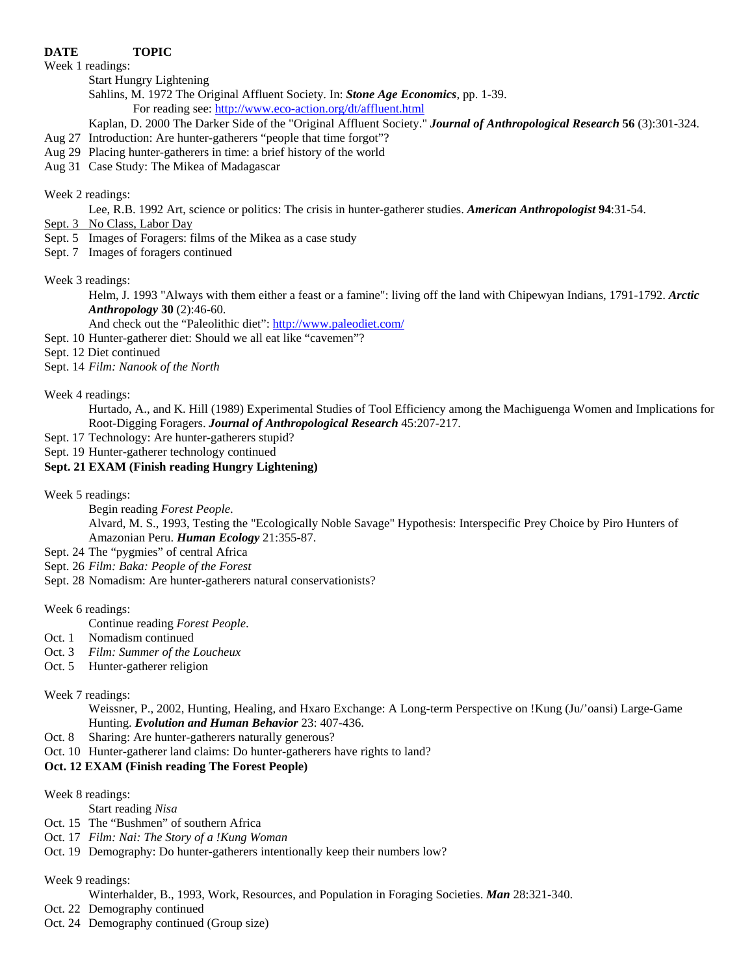## **DATE TOPIC**

Week 1 readings:

Start Hungry Lightening

Sahlins, M. 1972 The Original Affluent Society. In: *Stone Age Economics*, pp. 1-39. For reading see: http://www.eco-action.org/dt/affluent.html

Kaplan, D. 2000 The Darker Side of the "Original Affluent Society." *Journal of Anthropological Research* **56** (3):301-324.

- Aug 27 Introduction: Are hunter-gatherers "people that time forgot"?
- Aug 29 Placing hunter-gatherers in time: a brief history of the world
- Aug 31 Case Study: The Mikea of Madagascar

### Week 2 readings:

Lee, R.B. 1992 Art, science or politics: The crisis in hunter-gatherer studies. *American Anthropologist* **94**:31-54.

- Sept. 3 No Class, Labor Day
- Sept. 5 Images of Foragers: films of the Mikea as a case study
- Sept. 7 Images of foragers continued

Week 3 readings:

Helm, J. 1993 "Always with them either a feast or a famine": living off the land with Chipewyan Indians, 1791-1792. *Arctic Anthropology* **30** (2):46-60.

And check out the "Paleolithic diet": http://www.paleodiet.com/

Sept. 10 Hunter-gatherer diet: Should we all eat like "cavemen"?

Sept. 12 Diet continued

Sept. 14 *Film: Nanook of the North* 

Week 4 readings:

 Hurtado, A., and K. Hill (1989) Experimental Studies of Tool Efficiency among the Machiguenga Women and Implications for Root-Digging Foragers. *Journal of Anthropological Research* 45:207-217.

- Sept. 17 Technology: Are hunter-gatherers stupid?
- Sept. 19 Hunter-gatherer technology continued

# **Sept. 21 EXAM (Finish reading Hungry Lightening)**

Week 5 readings:

Begin reading *Forest People*. Alvard, M. S., 1993, Testing the "Ecologically Noble Savage" Hypothesis: Interspecific Prey Choice by Piro Hunters of Amazonian Peru. *Human Ecology* 21:355-87.

- Sept. 24 The "pygmies" of central Africa
- Sept. 26 *Film: Baka: People of the Forest*
- Sept. 28 Nomadism: Are hunter-gatherers natural conservationists?

Week 6 readings:

- Continue reading *Forest People*.
- Oct. 1 Nomadism continued
- Oct. 3 *Film: Summer of the Loucheux*
- Oct. 5 Hunter-gatherer religion

## Week 7 readings:

Weissner, P., 2002, Hunting, Healing, and Hxaro Exchange: A Long-term Perspective on !Kung (Ju/'oansi) Large-Game Hunting. *Evolution and Human Behavior* 23: 407-436.

- Oct. 8 Sharing: Are hunter-gatherers naturally generous?
- Oct. 10 Hunter-gatherer land claims: Do hunter-gatherers have rights to land?

## **Oct. 12 EXAM (Finish reading The Forest People)**

## Week 8 readings:

Start reading *Nisa*

- Oct. 15 The "Bushmen" of southern Africa
- Oct. 17 *Film: Nai: The Story of a !Kung Woman*
- Oct. 19 Demography: Do hunter-gatherers intentionally keep their numbers low?

## Week 9 readings:

- Winterhalder, B., 1993, Work, Resources, and Population in Foraging Societies. *Man* 28:321-340.
- Oct. 22 Demography continued
- Oct. 24 Demography continued (Group size)